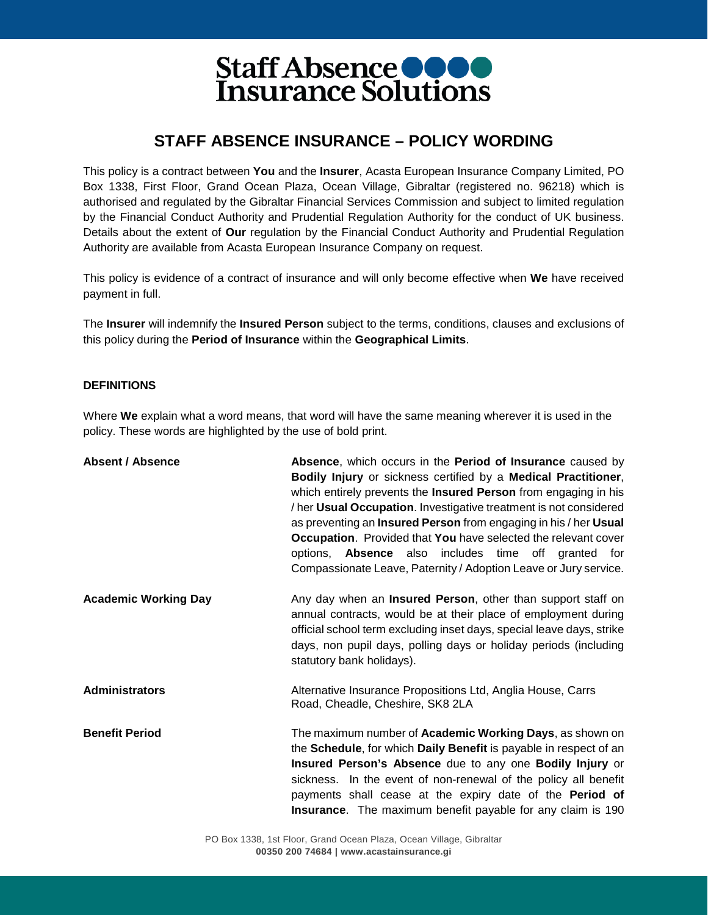### **STAFF ABSENCE INSURANCE – POLICY WORDING**

This policy is a contract between **You** and the **Insurer**, Acasta European Insurance Company Limited, PO Box 1338, First Floor, Grand Ocean Plaza, Ocean Village, Gibraltar (registered no. 96218) which is authorised and regulated by the Gibraltar Financial Services Commission and subject to limited regulation by the Financial Conduct Authority and Prudential Regulation Authority for the conduct of UK business. Details about the extent of **Our** regulation by the Financial Conduct Authority and Prudential Regulation Authority are available from Acasta European Insurance Company on request.

This policy is evidence of a contract of insurance and will only become effective when **We** have received payment in full.

The **Insurer** will indemnify the **Insured Person** subject to the terms, conditions, clauses and exclusions of this policy during the **Period of Insurance** within the **Geographical Limits**.

#### **DEFINITIONS**

Where **We** explain what a word means, that word will have the same meaning wherever it is used in the policy. These words are highlighted by the use of bold print.

| <b>Absent / Absence</b>     | Absence, which occurs in the Period of Insurance caused by<br>Bodily Injury or sickness certified by a Medical Practitioner,<br>which entirely prevents the Insured Person from engaging in his<br>/ her Usual Occupation. Investigative treatment is not considered<br>as preventing an <b>Insured Person</b> from engaging in his / her Usual<br><b>Occupation.</b> Provided that You have selected the relevant cover<br>options, <b>Absence</b> also includes time off granted for<br>Compassionate Leave, Paternity / Adoption Leave or Jury service. |
|-----------------------------|------------------------------------------------------------------------------------------------------------------------------------------------------------------------------------------------------------------------------------------------------------------------------------------------------------------------------------------------------------------------------------------------------------------------------------------------------------------------------------------------------------------------------------------------------------|
| <b>Academic Working Day</b> | Any day when an <b>Insured Person</b> , other than support staff on<br>annual contracts, would be at their place of employment during<br>official school term excluding inset days, special leave days, strike<br>days, non pupil days, polling days or holiday periods (including<br>statutory bank holidays).                                                                                                                                                                                                                                            |
| <b>Administrators</b>       | Alternative Insurance Propositions Ltd, Anglia House, Carrs<br>Road, Cheadle, Cheshire, SK8 2LA                                                                                                                                                                                                                                                                                                                                                                                                                                                            |
| <b>Benefit Period</b>       | The maximum number of <b>Academic Working Days</b> , as shown on<br>the Schedule, for which Daily Benefit is payable in respect of an<br>Insured Person's Absence due to any one Bodily Injury or<br>sickness. In the event of non-renewal of the policy all benefit<br>payments shall cease at the expiry date of the Period of<br><b>Insurance</b> . The maximum benefit payable for any claim is 190                                                                                                                                                    |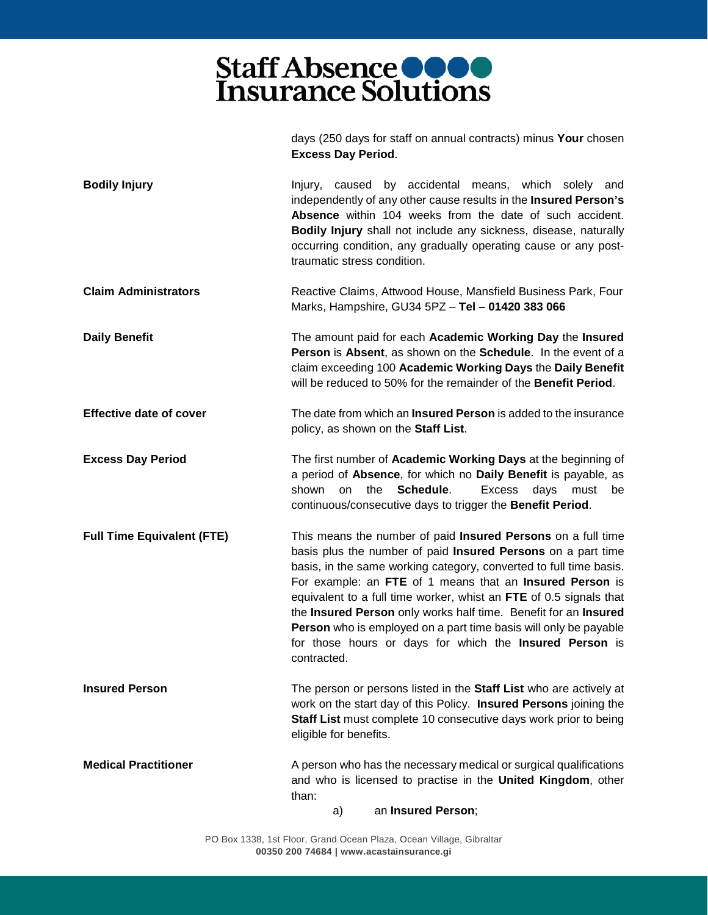days (250 days for staff on annual contracts) minus **Your** chosen

|                                   | <b>Excess Day Period.</b>                                                                                                                                                                                                                                                                                                                                                                                                                                                                                                                             |
|-----------------------------------|-------------------------------------------------------------------------------------------------------------------------------------------------------------------------------------------------------------------------------------------------------------------------------------------------------------------------------------------------------------------------------------------------------------------------------------------------------------------------------------------------------------------------------------------------------|
| <b>Bodily Injury</b>              | Injury, caused by accidental means, which solely<br>and<br>independently of any other cause results in the Insured Person's<br>Absence within 104 weeks from the date of such accident.<br>Bodily Injury shall not include any sickness, disease, naturally<br>occurring condition, any gradually operating cause or any post-<br>traumatic stress condition.                                                                                                                                                                                         |
| <b>Claim Administrators</b>       | Reactive Claims, Attwood House, Mansfield Business Park, Four<br>Marks, Hampshire, GU34 5PZ - Tel - 01420 383 066                                                                                                                                                                                                                                                                                                                                                                                                                                     |
| <b>Daily Benefit</b>              | The amount paid for each Academic Working Day the Insured<br>Person is Absent, as shown on the Schedule. In the event of a<br>claim exceeding 100 Academic Working Days the Daily Benefit<br>will be reduced to 50% for the remainder of the <b>Benefit Period</b> .                                                                                                                                                                                                                                                                                  |
| <b>Effective date of cover</b>    | The date from which an <b>Insured Person</b> is added to the insurance<br>policy, as shown on the Staff List.                                                                                                                                                                                                                                                                                                                                                                                                                                         |
| <b>Excess Day Period</b>          | The first number of Academic Working Days at the beginning of<br>a period of Absence, for which no Daily Benefit is payable, as<br>Schedule.<br><b>Excess</b><br>shown<br>on<br>the<br>days<br>must<br>be<br>continuous/consecutive days to trigger the Benefit Period.                                                                                                                                                                                                                                                                               |
| <b>Full Time Equivalent (FTE)</b> | This means the number of paid Insured Persons on a full time<br>basis plus the number of paid Insured Persons on a part time<br>basis, in the same working category, converted to full time basis.<br>For example: an FTE of 1 means that an Insured Person is<br>equivalent to a full time worker, whist an FTE of 0.5 signals that<br>the Insured Person only works half time. Benefit for an Insured<br>Person who is employed on a part time basis will only be payable<br>for those hours or days for which the Insured Person is<br>contracted. |
| <b>Insured Person</b>             | The person or persons listed in the Staff List who are actively at<br>work on the start day of this Policy. Insured Persons joining the<br>Staff List must complete 10 consecutive days work prior to being<br>eligible for benefits.                                                                                                                                                                                                                                                                                                                 |
| <b>Medical Practitioner</b>       | A person who has the necessary medical or surgical qualifications<br>and who is licensed to practise in the United Kingdom, other<br>than:                                                                                                                                                                                                                                                                                                                                                                                                            |
|                                   | an Insured Person;<br>a)                                                                                                                                                                                                                                                                                                                                                                                                                                                                                                                              |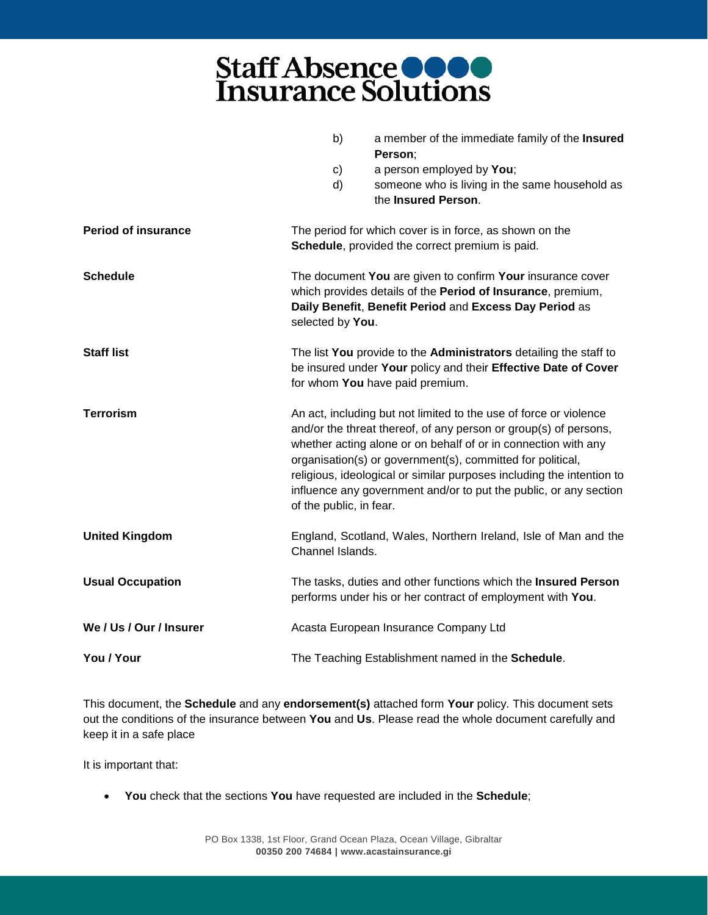|                            | b)                                                             | a member of the immediate family of the Insured<br>Person;                                                                                                                                                                                                                                                                                                                                                          |
|----------------------------|----------------------------------------------------------------|---------------------------------------------------------------------------------------------------------------------------------------------------------------------------------------------------------------------------------------------------------------------------------------------------------------------------------------------------------------------------------------------------------------------|
|                            | C)                                                             | a person employed by You;                                                                                                                                                                                                                                                                                                                                                                                           |
|                            | d)                                                             | someone who is living in the same household as                                                                                                                                                                                                                                                                                                                                                                      |
|                            |                                                                | the Insured Person.                                                                                                                                                                                                                                                                                                                                                                                                 |
|                            |                                                                |                                                                                                                                                                                                                                                                                                                                                                                                                     |
| <b>Period of insurance</b> |                                                                | The period for which cover is in force, as shown on the                                                                                                                                                                                                                                                                                                                                                             |
|                            |                                                                | Schedule, provided the correct premium is paid.                                                                                                                                                                                                                                                                                                                                                                     |
| <b>Schedule</b>            |                                                                | The document You are given to confirm Your insurance cover<br>which provides details of the Period of Insurance, premium,<br>Daily Benefit, Benefit Period and Excess Day Period as                                                                                                                                                                                                                                 |
|                            | selected by You.                                               |                                                                                                                                                                                                                                                                                                                                                                                                                     |
| <b>Staff list</b>          |                                                                | The list You provide to the Administrators detailing the staff to                                                                                                                                                                                                                                                                                                                                                   |
|                            | be insured under Your policy and their Effective Date of Cover |                                                                                                                                                                                                                                                                                                                                                                                                                     |
|                            |                                                                | for whom You have paid premium.                                                                                                                                                                                                                                                                                                                                                                                     |
| <b>Terrorism</b>           | of the public, in fear.                                        | An act, including but not limited to the use of force or violence<br>and/or the threat thereof, of any person or group(s) of persons,<br>whether acting alone or on behalf of or in connection with any<br>organisation(s) or government(s), committed for political,<br>religious, ideological or similar purposes including the intention to<br>influence any government and/or to put the public, or any section |
| <b>United Kingdom</b>      | Channel Islands.                                               | England, Scotland, Wales, Northern Ireland, Isle of Man and the                                                                                                                                                                                                                                                                                                                                                     |
| <b>Usual Occupation</b>    |                                                                | The tasks, duties and other functions which the Insured Person<br>performs under his or her contract of employment with You.                                                                                                                                                                                                                                                                                        |
| We / Us / Our / Insurer    |                                                                | Acasta European Insurance Company Ltd                                                                                                                                                                                                                                                                                                                                                                               |
| You / Your                 |                                                                | The Teaching Establishment named in the Schedule.                                                                                                                                                                                                                                                                                                                                                                   |

This document, the **Schedule** and any **endorsement(s)** attached form **Your** policy. This document sets out the conditions of the insurance between **You** and **Us**. Please read the whole document carefully and keep it in a safe place

It is important that:

• **You** check that the sections **You** have requested are included in the **Schedule**;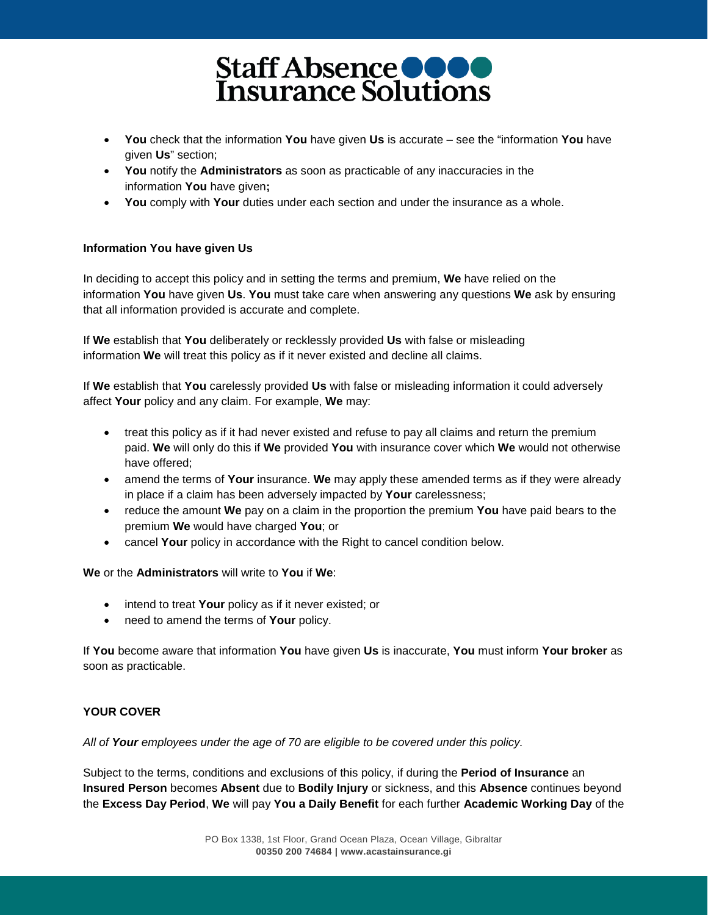- **You** check that the information **You** have given **Us** is accurate see the "information **You** have given **Us**" section;
- **You** notify the **Administrators** as soon as practicable of any inaccuracies in the information **You** have given**;**
- **You** comply with **Your** duties under each section and under the insurance as a whole.

#### **Information You have given Us**

In deciding to accept this policy and in setting the terms and premium, **We** have relied on the information **You** have given **Us**. **You** must take care when answering any questions **We** ask by ensuring that all information provided is accurate and complete.

If **We** establish that **You** deliberately or recklessly provided **Us** with false or misleading information **We** will treat this policy as if it never existed and decline all claims.

If **We** establish that **You** carelessly provided **Us** with false or misleading information it could adversely affect **Your** policy and any claim. For example, **We** may:

- treat this policy as if it had never existed and refuse to pay all claims and return the premium paid. **We** will only do this if **We** provided **You** with insurance cover which **We** would not otherwise have offered;
- amend the terms of **Your** insurance. **We** may apply these amended terms as if they were already in place if a claim has been adversely impacted by **Your** carelessness;
- reduce the amount **We** pay on a claim in the proportion the premium **You** have paid bears to the premium **We** would have charged **You**; or
- cancel **Your** policy in accordance with the Right to cancel condition below.

#### **We** or the **Administrators** will write to **You** if **We**:

- intend to treat **Your** policy as if it never existed; or
- need to amend the terms of **Your** policy.

If **You** become aware that information **You** have given **Us** is inaccurate, **You** must inform **Your broker** as soon as practicable.

#### **YOUR COVER**

*All of Your employees under the age of 70 are eligible to be covered under this policy.*

Subject to the terms, conditions and exclusions of this policy, if during the **Period of Insurance** an **Insured Person** becomes **Absent** due to **Bodily Injury** or sickness, and this **Absence** continues beyond the **Excess Day Period**, **We** will pay **You a Daily Benefit** for each further **Academic Working Day** of the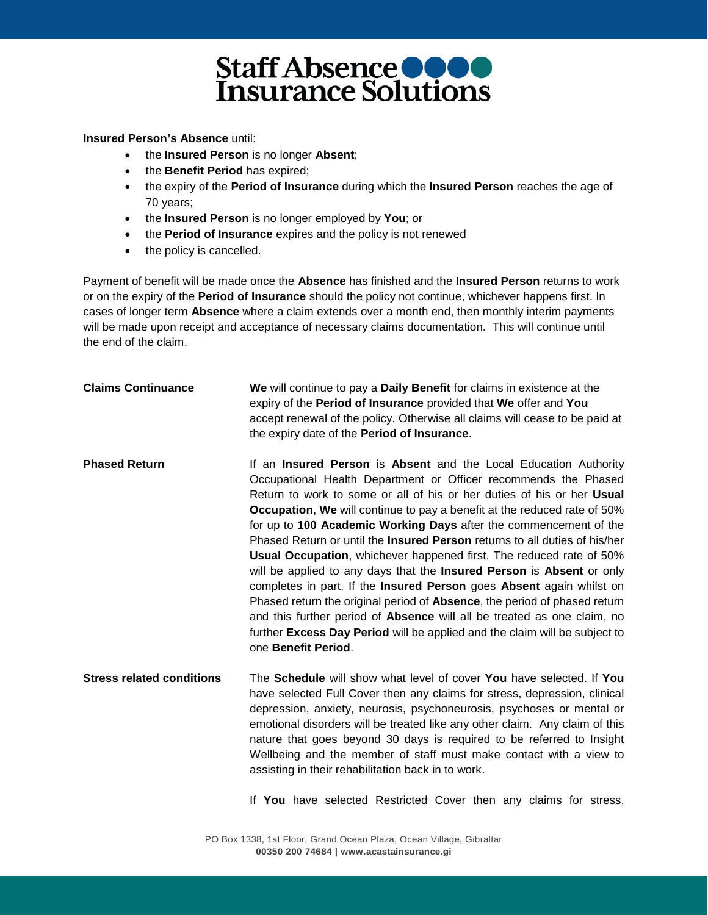**Insured Person's Absence** until:

- the **Insured Person** is no longer **Absent**;
- the **Benefit Period** has expired;
- the expiry of the **Period of Insurance** during which the **Insured Person** reaches the age of 70 years;
- the **Insured Person** is no longer employed by **You**; or
- the **Period of Insurance** expires and the policy is not renewed
- the policy is cancelled.

Payment of benefit will be made once the **Absence** has finished and the **Insured Person** returns to work or on the expiry of the **Period of Insurance** should the policy not continue, whichever happens first. In cases of longer term **Absence** where a claim extends over a month end, then monthly interim payments will be made upon receipt and acceptance of necessary claims documentation. This will continue until the end of the claim.

| <b>Claims Continuance</b>        | We will continue to pay a Daily Benefit for claims in existence at the<br>expiry of the Period of Insurance provided that We offer and You<br>accept renewal of the policy. Otherwise all claims will cease to be paid at<br>the expiry date of the Period of Insurance.                                                                                                                                                                                                                                                                                                                                                                                                                                                                                                                                                                                                                                                                                              |
|----------------------------------|-----------------------------------------------------------------------------------------------------------------------------------------------------------------------------------------------------------------------------------------------------------------------------------------------------------------------------------------------------------------------------------------------------------------------------------------------------------------------------------------------------------------------------------------------------------------------------------------------------------------------------------------------------------------------------------------------------------------------------------------------------------------------------------------------------------------------------------------------------------------------------------------------------------------------------------------------------------------------|
| <b>Phased Return</b>             | If an Insured Person is Absent and the Local Education Authority<br>Occupational Health Department or Officer recommends the Phased<br>Return to work to some or all of his or her duties of his or her Usual<br><b>Occupation, We</b> will continue to pay a benefit at the reduced rate of 50%<br>for up to 100 Academic Working Days after the commencement of the<br>Phased Return or until the <b>Insured Person</b> returns to all duties of his/her<br><b>Usual Occupation, whichever happened first. The reduced rate of 50%</b><br>will be applied to any days that the Insured Person is Absent or only<br>completes in part. If the Insured Person goes Absent again whilst on<br>Phased return the original period of <b>Absence</b> , the period of phased return<br>and this further period of <b>Absence</b> will all be treated as one claim, no<br>further Excess Day Period will be applied and the claim will be subject to<br>one Benefit Period. |
| <b>Stress related conditions</b> | The <b>Schedule</b> will show what level of cover You have selected. If You<br>have selected Full Cover then any claims for stress, depression, clinical<br>depression, anxiety, neurosis, psychoneurosis, psychoses or mental or<br>emotional disorders will be treated like any other claim. Any claim of this<br>nature that goes beyond 30 days is required to be referred to Insight<br>Wellbeing and the member of staff must make contact with a view to<br>assisting in their rehabilitation back in to work.<br>If You have selected Restricted Cover then any claims for stress,                                                                                                                                                                                                                                                                                                                                                                            |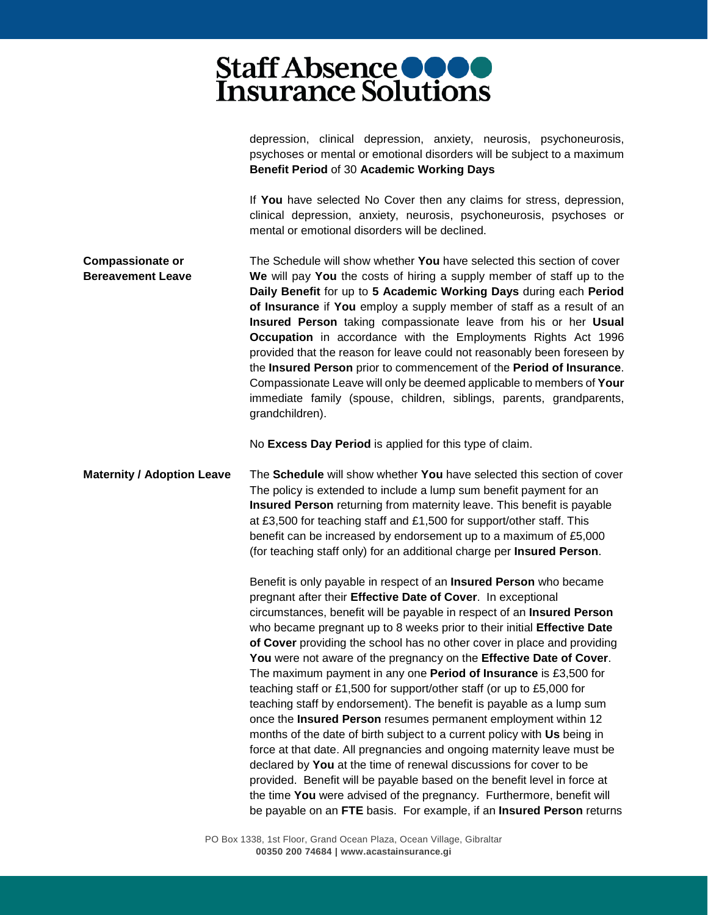|                                                     | depression, clinical depression, anxiety, neurosis, psychoneurosis,<br>psychoses or mental or emotional disorders will be subject to a maximum<br>Benefit Period of 30 Academic Working Days                                                                                                                                                                                                                                                                                                                                                                                                                                                                                                                                                                                                                                                                                                                                                                                                                                                                                                                                                                                                |
|-----------------------------------------------------|---------------------------------------------------------------------------------------------------------------------------------------------------------------------------------------------------------------------------------------------------------------------------------------------------------------------------------------------------------------------------------------------------------------------------------------------------------------------------------------------------------------------------------------------------------------------------------------------------------------------------------------------------------------------------------------------------------------------------------------------------------------------------------------------------------------------------------------------------------------------------------------------------------------------------------------------------------------------------------------------------------------------------------------------------------------------------------------------------------------------------------------------------------------------------------------------|
|                                                     | If You have selected No Cover then any claims for stress, depression,<br>clinical depression, anxiety, neurosis, psychoneurosis, psychoses or<br>mental or emotional disorders will be declined.                                                                                                                                                                                                                                                                                                                                                                                                                                                                                                                                                                                                                                                                                                                                                                                                                                                                                                                                                                                            |
| <b>Compassionate or</b><br><b>Bereavement Leave</b> | The Schedule will show whether You have selected this section of cover<br>We will pay You the costs of hiring a supply member of staff up to the<br>Daily Benefit for up to 5 Academic Working Days during each Period<br>of Insurance if You employ a supply member of staff as a result of an<br>Insured Person taking compassionate leave from his or her Usual<br>Occupation in accordance with the Employments Rights Act 1996<br>provided that the reason for leave could not reasonably been foreseen by<br>the Insured Person prior to commencement of the Period of Insurance.<br>Compassionate Leave will only be deemed applicable to members of Your<br>immediate family (spouse, children, siblings, parents, grandparents,<br>grandchildren).                                                                                                                                                                                                                                                                                                                                                                                                                                 |
|                                                     | No Excess Day Period is applied for this type of claim.                                                                                                                                                                                                                                                                                                                                                                                                                                                                                                                                                                                                                                                                                                                                                                                                                                                                                                                                                                                                                                                                                                                                     |
| <b>Maternity / Adoption Leave</b>                   | The Schedule will show whether You have selected this section of cover<br>The policy is extended to include a lump sum benefit payment for an<br><b>Insured Person</b> returning from maternity leave. This benefit is payable<br>at £3,500 for teaching staff and £1,500 for support/other staff. This<br>benefit can be increased by endorsement up to a maximum of £5,000<br>(for teaching staff only) for an additional charge per Insured Person.                                                                                                                                                                                                                                                                                                                                                                                                                                                                                                                                                                                                                                                                                                                                      |
|                                                     | Benefit is only payable in respect of an Insured Person who became<br>pregnant after their Effective Date of Cover. In exceptional<br>circumstances, benefit will be payable in respect of an Insured Person<br>who became pregnant up to 8 weeks prior to their initial Effective Date<br>of Cover providing the school has no other cover in place and providing<br>You were not aware of the pregnancy on the Effective Date of Cover.<br>The maximum payment in any one Period of Insurance is £3,500 for<br>teaching staff or £1,500 for support/other staff (or up to £5,000 for<br>teaching staff by endorsement). The benefit is payable as a lump sum<br>once the Insured Person resumes permanent employment within 12<br>months of the date of birth subject to a current policy with Us being in<br>force at that date. All pregnancies and ongoing maternity leave must be<br>declared by You at the time of renewal discussions for cover to be<br>provided. Benefit will be payable based on the benefit level in force at<br>the time You were advised of the pregnancy. Furthermore, benefit will<br>be payable on an FTE basis. For example, if an Insured Person returns |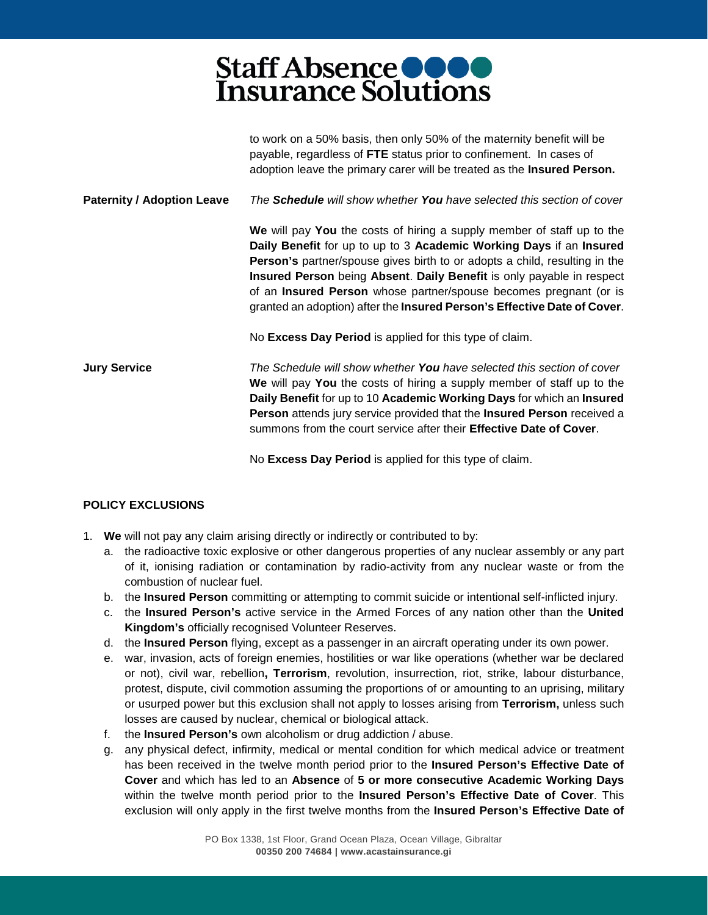|                                   | to work on a 50% basis, then only 50% of the maternity benefit will be<br>payable, regardless of FTE status prior to confinement. In cases of<br>adoption leave the primary carer will be treated as the Insured Person.                                                                                                                                                                                                                                                    |
|-----------------------------------|-----------------------------------------------------------------------------------------------------------------------------------------------------------------------------------------------------------------------------------------------------------------------------------------------------------------------------------------------------------------------------------------------------------------------------------------------------------------------------|
| <b>Paternity / Adoption Leave</b> | The <b>Schedule</b> will show whether <b>You</b> have selected this section of cover                                                                                                                                                                                                                                                                                                                                                                                        |
|                                   | We will pay You the costs of hiring a supply member of staff up to the<br>Daily Benefit for up to up to 3 Academic Working Days if an Insured<br><b>Person's</b> partner/spouse gives birth to or adopts a child, resulting in the<br>Insured Person being Absent. Daily Benefit is only payable in respect<br>of an <b>Insured Person</b> whose partner/spouse becomes pregnant (or is<br>granted an adoption) after the <b>Insured Person's Effective Date of Cover</b> . |
|                                   | No Excess Day Period is applied for this type of claim.                                                                                                                                                                                                                                                                                                                                                                                                                     |
| <b>Jury Service</b>               | The Schedule will show whether <b>You</b> have selected this section of cover<br>We will pay You the costs of hiring a supply member of staff up to the<br>Daily Benefit for up to 10 Academic Working Days for which an Insured<br><b>Person</b> attends jury service provided that the <b>Insured Person</b> received a<br>summons from the court service after their Effective Date of Cover.                                                                            |

No **Excess Day Period** is applied for this type of claim.

#### **POLICY EXCLUSIONS**

- 1. **We** will not pay any claim arising directly or indirectly or contributed to by:
	- a. the radioactive toxic explosive or other dangerous properties of any nuclear assembly or any part of it, ionising radiation or contamination by radio-activity from any nuclear waste or from the combustion of nuclear fuel.
	- b. the **Insured Person** committing or attempting to commit suicide or intentional self-inflicted injury.
	- c. the **Insured Person's** active service in the Armed Forces of any nation other than the **United Kingdom's** officially recognised Volunteer Reserves.
	- d. the **Insured Person** flying, except as a passenger in an aircraft operating under its own power.
	- e. war, invasion, acts of foreign enemies, hostilities or war like operations (whether war be declared or not), civil war, rebellion**, Terrorism**, revolution, insurrection, riot, strike, labour disturbance, protest, dispute, civil commotion assuming the proportions of or amounting to an uprising, military or usurped power but this exclusion shall not apply to losses arising from **Terrorism,** unless such losses are caused by nuclear, chemical or biological attack.
	- f. the **Insured Person's** own alcoholism or drug addiction / abuse.
	- g. any physical defect, infirmity, medical or mental condition for which medical advice or treatment has been received in the twelve month period prior to the **Insured Person's Effective Date of Cover** and which has led to an **Absence** of **5 or more consecutive Academic Working Days** within the twelve month period prior to the **Insured Person's Effective Date of Cover**. This exclusion will only apply in the first twelve months from the **Insured Person's Effective Date of**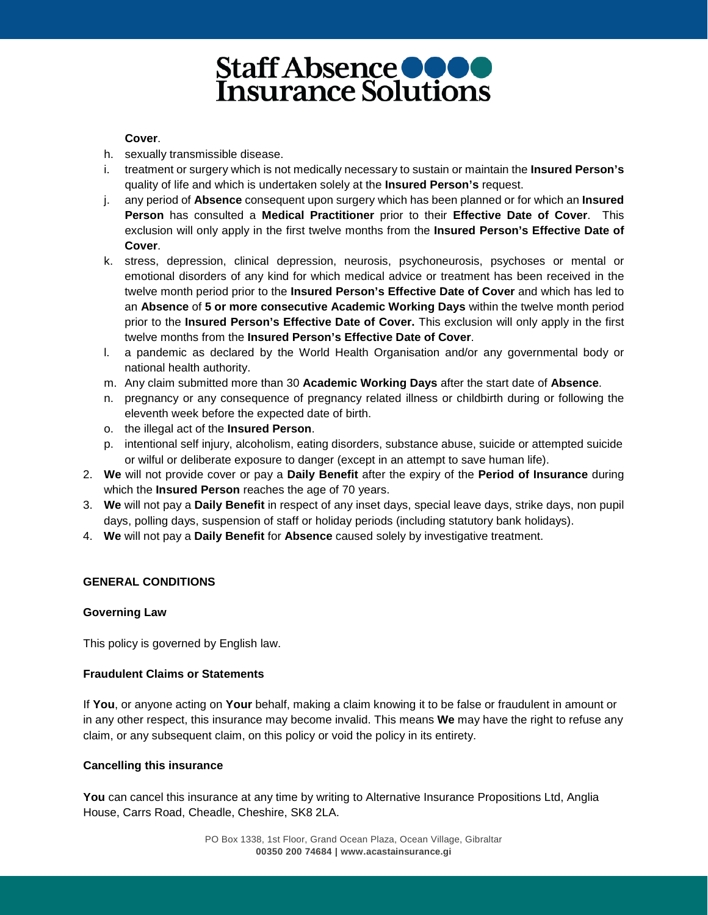#### **Cover**.

- h. sexually transmissible disease.
- i. treatment or surgery which is not medically necessary to sustain or maintain the **Insured Person's**  quality of life and which is undertaken solely at the **Insured Person's** request.
- j. any period of **Absence** consequent upon surgery which has been planned or for which an **Insured Person** has consulted a **Medical Practitioner** prior to their **Effective Date of Cover**. This exclusion will only apply in the first twelve months from the **Insured Person's Effective Date of Cover**.
- k. stress, depression, clinical depression, neurosis, psychoneurosis, psychoses or mental or emotional disorders of any kind for which medical advice or treatment has been received in the twelve month period prior to the **Insured Person's Effective Date of Cover** and which has led to an **Absence** of **5 or more consecutive Academic Working Days** within the twelve month period prior to the **Insured Person's Effective Date of Cover.** This exclusion will only apply in the first twelve months from the **Insured Person's Effective Date of Cover**.
- l. a pandemic as declared by the World Health Organisation and/or any governmental body or national health authority.
- m. Any claim submitted more than 30 **Academic Working Days** after the start date of **Absence**.
- n. pregnancy or any consequence of pregnancy related illness or childbirth during or following the eleventh week before the expected date of birth.
- o. the illegal act of the **Insured Person**.
- p. intentional self injury, alcoholism, eating disorders, substance abuse, suicide or attempted suicide or wilful or deliberate exposure to danger (except in an attempt to save human life).
- 2. **We** will not provide cover or pay a **Daily Benefit** after the expiry of the **Period of Insurance** during which the **Insured Person** reaches the age of 70 years.
- 3. **We** will not pay a **Daily Benefit** in respect of any inset days, special leave days, strike days, non pupil days, polling days, suspension of staff or holiday periods (including statutory bank holidays).
- 4. **We** will not pay a **Daily Benefit** for **Absence** caused solely by investigative treatment.

#### **GENERAL CONDITIONS**

#### **Governing Law**

This policy is governed by English law.

#### **Fraudulent Claims or Statements**

If **You**, or anyone acting on **Your** behalf, making a claim knowing it to be false or fraudulent in amount or in any other respect, this insurance may become invalid. This means **We** may have the right to refuse any claim, or any subsequent claim, on this policy or void the policy in its entirety.

#### **Cancelling this insurance**

You can cancel this insurance at any time by writing to Alternative Insurance Propositions Ltd, Anglia House, Carrs Road, Cheadle, Cheshire, SK8 2LA.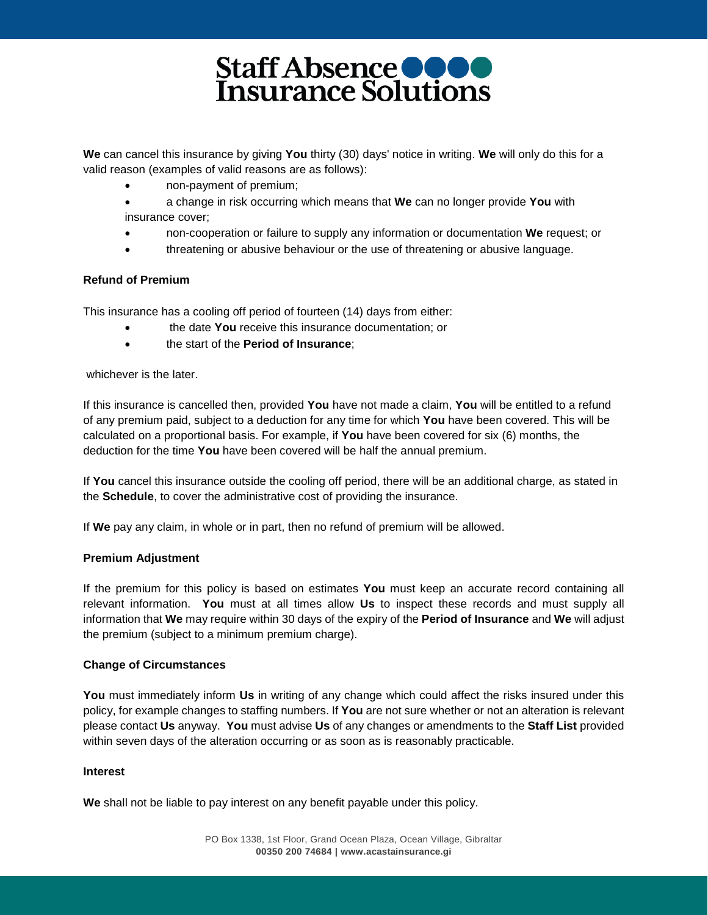**We** can cancel this insurance by giving **You** thirty (30) days' notice in writing. **We** will only do this for a valid reason (examples of valid reasons are as follows):

- non-payment of premium;
- a change in risk occurring which means that **We** can no longer provide **You** with insurance cover;
- non-cooperation or failure to supply any information or documentation **We** request; or
- threatening or abusive behaviour or the use of threatening or abusive language.

#### **Refund of Premium**

This insurance has a cooling off period of fourteen (14) days from either:

- the date **You** receive this insurance documentation; or
- the start of the **Period of Insurance**;

whichever is the later.

If this insurance is cancelled then, provided **You** have not made a claim, **You** will be entitled to a refund of any premium paid, subject to a deduction for any time for which **You** have been covered. This will be calculated on a proportional basis. For example, if **You** have been covered for six (6) months, the deduction for the time **You** have been covered will be half the annual premium.

If **You** cancel this insurance outside the cooling off period, there will be an additional charge, as stated in the **Schedule**, to cover the administrative cost of providing the insurance.

If **We** pay any claim, in whole or in part, then no refund of premium will be allowed.

#### **Premium Adjustment**

If the premium for this policy is based on estimates **You** must keep an accurate record containing all relevant information. **You** must at all times allow **Us** to inspect these records and must supply all information that **We** may require within 30 days of the expiry of the **Period of Insurance** and **We** will adjust the premium (subject to a minimum premium charge).

#### **Change of Circumstances**

**You** must immediately inform **Us** in writing of any change which could affect the risks insured under this policy, for example changes to staffing numbers. If **You** are not sure whether or not an alteration is relevant please contact **Us** anyway. **You** must advise **Us** of any changes or amendments to the **Staff List** provided within seven days of the alteration occurring or as soon as is reasonably practicable.

#### **Interest**

**We** shall not be liable to pay interest on any benefit payable under this policy.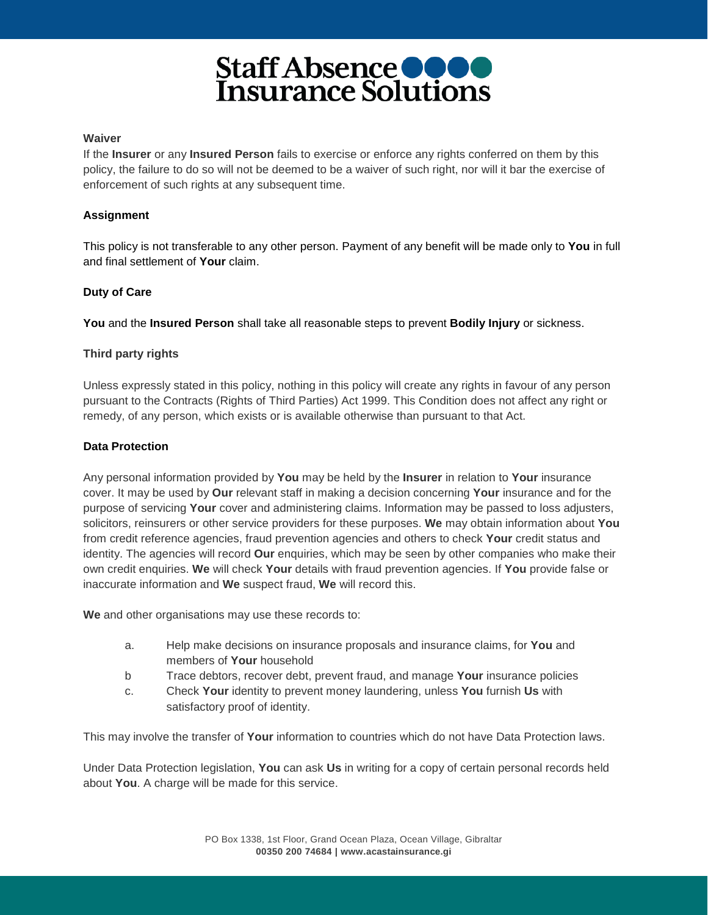#### **Waiver**

If the **Insurer** or any **Insured Person** fails to exercise or enforce any rights conferred on them by this policy, the failure to do so will not be deemed to be a waiver of such right, nor will it bar the exercise of enforcement of such rights at any subsequent time.

#### **Assignment**

This policy is not transferable to any other person. Payment of any benefit will be made only to **You** in full and final settlement of **Your** claim.

#### **Duty of Care**

**You** and the **Insured Person** shall take all reasonable steps to prevent **Bodily Injury** or sickness.

#### **Third party rights**

Unless expressly stated in this policy, nothing in this policy will create any rights in favour of any person pursuant to the Contracts (Rights of Third Parties) Act 1999. This Condition does not affect any right or remedy, of any person, which exists or is available otherwise than pursuant to that Act.

#### **Data Protection**

Any personal information provided by **You** may be held by the **Insurer** in relation to **Your** insurance cover. It may be used by **Our** relevant staff in making a decision concerning **Your** insurance and for the purpose of servicing **Your** cover and administering claims. Information may be passed to loss adjusters, solicitors, reinsurers or other service providers for these purposes. **We** may obtain information about **You**  from credit reference agencies, fraud prevention agencies and others to check **Your** credit status and identity. The agencies will record **Our** enquiries, which may be seen by other companies who make their own credit enquiries. **We** will check **Your** details with fraud prevention agencies. If **You** provide false or inaccurate information and **We** suspect fraud, **We** will record this.

**We** and other organisations may use these records to:

- a. Help make decisions on insurance proposals and insurance claims, for **You** and members of **Your** household
- b Trace debtors, recover debt, prevent fraud, and manage **Your** insurance policies
- c. Check **Your** identity to prevent money laundering, unless **You** furnish **Us** with satisfactory proof of identity.

This may involve the transfer of **Your** information to countries which do not have Data Protection laws.

Under Data Protection legislation, **You** can ask **Us** in writing for a copy of certain personal records held about **You**. A charge will be made for this service.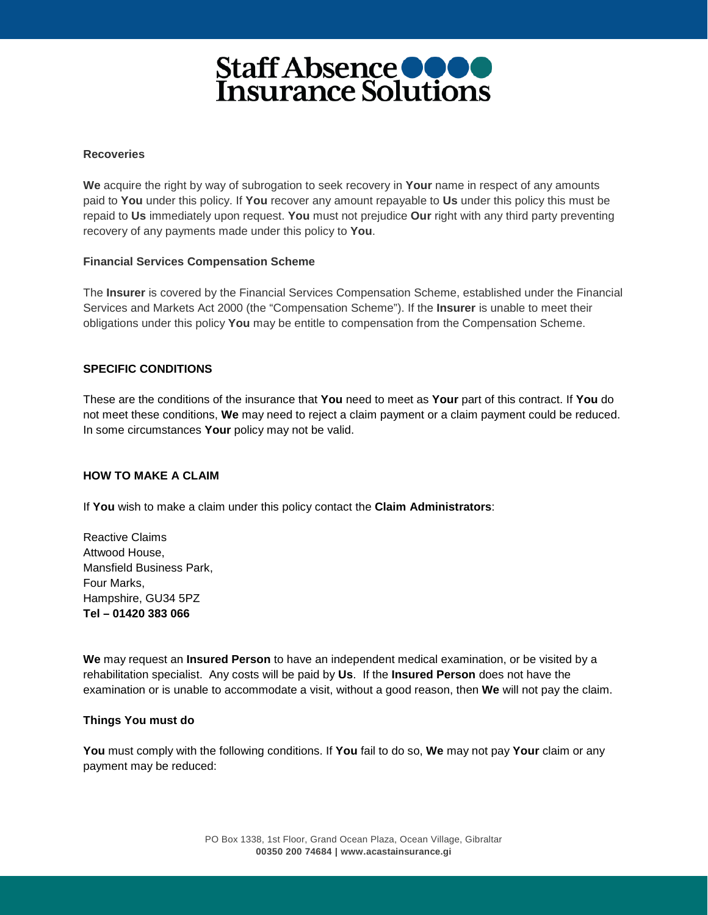#### **Recoveries**

**We** acquire the right by way of subrogation to seek recovery in **Your** name in respect of any amounts paid to **You** under this policy. If **You** recover any amount repayable to **Us** under this policy this must be repaid to **Us** immediately upon request. **You** must not prejudice **Our** right with any third party preventing recovery of any payments made under this policy to **You**.

#### **Financial Services Compensation Scheme**

The **Insurer** is covered by the Financial Services Compensation Scheme, established under the Financial Services and Markets Act 2000 (the "Compensation Scheme"). If the **Insurer** is unable to meet their obligations under this policy **You** may be entitle to compensation from the Compensation Scheme.

#### **SPECIFIC CONDITIONS**

These are the conditions of the insurance that **You** need to meet as **Your** part of this contract. If **You** do not meet these conditions, **We** may need to reject a claim payment or a claim payment could be reduced. In some circumstances **Your** policy may not be valid.

#### **HOW TO MAKE A CLAIM**

If **You** wish to make a claim under this policy contact the **Claim Administrators**:

Reactive Claims Attwood House, Mansfield Business Park, Four Marks, Hampshire, GU34 5PZ **Tel – 01420 383 066**

**We** may request an **Insured Person** to have an independent medical examination, or be visited by a rehabilitation specialist. Any costs will be paid by **Us**. If the **Insured Person** does not have the examination or is unable to accommodate a visit, without a good reason, then **We** will not pay the claim.

#### **Things You must do**

**You** must comply with the following conditions. If **You** fail to do so, **We** may not pay **Your** claim or any payment may be reduced: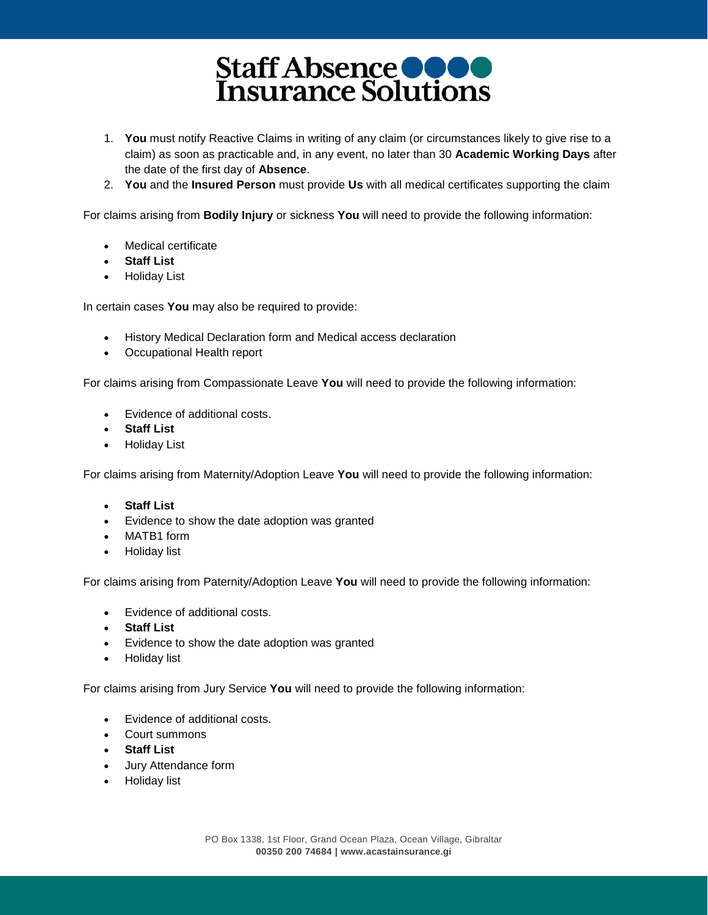- 1. **You** must notify Reactive Claims in writing of any claim (or circumstances likely to give rise to a claim) as soon as practicable and, in any event, no later than 30 **Academic Working Days** after the date of the first day of **Absence**.
- 2. **You** and the **Insured Person** must provide **Us** with all medical certificates supporting the claim

For claims arising from **Bodily Injury** or sickness **You** will need to provide the following information:

- Medical certificate
- **Staff List**
- Holiday List

In certain cases **You** may also be required to provide:

- History Medical Declaration form and Medical access declaration
- Occupational Health report

For claims arising from Compassionate Leave **You** will need to provide the following information:

- Evidence of additional costs.
- **Staff List**
- Holiday List

For claims arising from Maternity/Adoption Leave **You** will need to provide the following information:

- **Staff List**
- Evidence to show the date adoption was granted
- MATB1 form
- Holiday list

For claims arising from Paternity/Adoption Leave **You** will need to provide the following information:

- Evidence of additional costs.
- **Staff List**
- Evidence to show the date adoption was granted
- Holiday list

For claims arising from Jury Service **You** will need to provide the following information:

- Evidence of additional costs.
- Court summons
- **Staff List**
- Jury Attendance form
- Holiday list